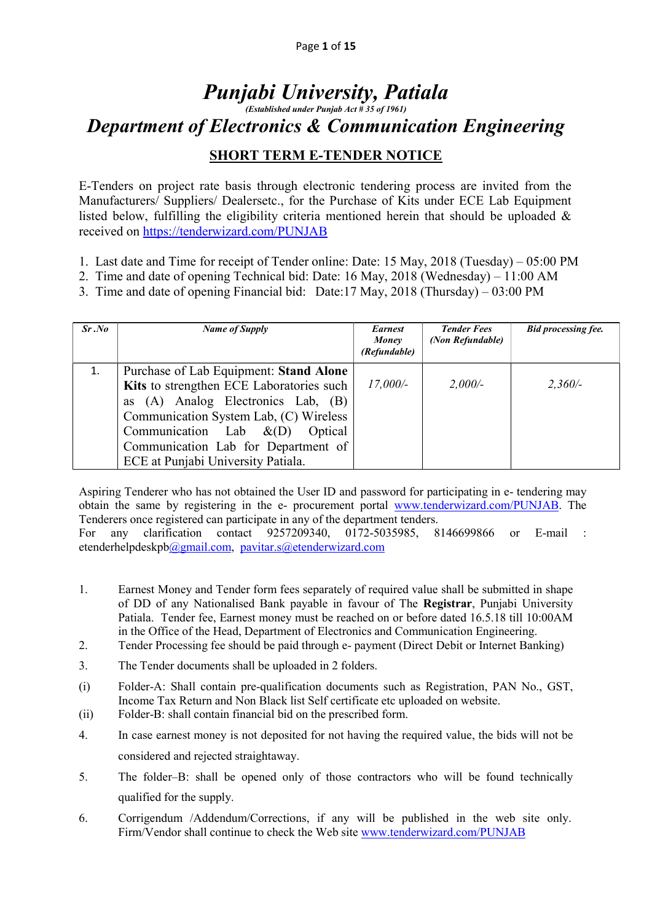# Punjabi University, Patiala (Established under Punjab Act # 35 of 1961) Department of Electronics & Communication Engineering

### **SHORT TERM E-TENDER NOTICE**

E-Tenders on project rate basis through electronic tendering process are invited from the Manufacturers/ Suppliers/ Dealersetc., for the Purchase of Kits under ECE Lab Equipment listed below, fulfilling the eligibility criteria mentioned herein that should be uploaded  $\&$ received on https://tenderwizard.com/PUNJAB

- 1. Last date and Time for receipt of Tender online: Date: 15 May, 2018 (Tuesday) 05:00 PM
- 2. Time and date of opening Technical bid: Date: 16 May, 2018 (Wednesday) 11:00 AM
- 3. Time and date of opening Financial bid: Date:17 May, 2018 (Thursday) 03:00 PM

| Sr.No | Name of Supply                                                                                                                                                                                                                                                                          | <b>Earnest</b><br>Money<br>(Refundable) | <b>Tender Fees</b><br>(Non Refundable) | <b>Bid processing fee.</b> |
|-------|-----------------------------------------------------------------------------------------------------------------------------------------------------------------------------------------------------------------------------------------------------------------------------------------|-----------------------------------------|----------------------------------------|----------------------------|
| 1.    | Purchase of Lab Equipment: Stand Alone<br>Kits to strengthen ECE Laboratories such<br>as (A) Analog Electronics Lab, (B)<br>Communication System Lab, (C) Wireless<br>Communication Lab $\&(D)$<br>Optical<br>Communication Lab for Department of<br>ECE at Punjabi University Patiala. | 17,000/-                                | 2,000/                                 | $2,360/-$                  |

Aspiring Tenderer who has not obtained the User ID and password for participating in e- tendering may obtain the same by registering in the e- procurement portal www.tenderwizard.com/PUNJAB. The Tenderers once registered can participate in any of the department tenders.

For any clarification contact 9257209340, 0172-5035985, 8146699866 or E-mail : etenderhelpdeskpb@gmail.com, pavitar.s@etenderwizard.com

- 1. Earnest Money and Tender form fees separately of required value shall be submitted in shape of DD of any Nationalised Bank payable in favour of The Registrar, Punjabi University Patiala. Tender fee, Earnest money must be reached on or before dated 16.5.18 till 10:00AM in the Office of the Head, Department of Electronics and Communication Engineering.
- 2. Tender Processing fee should be paid through e- payment (Direct Debit or Internet Banking)
- 3. The Tender documents shall be uploaded in 2 folders.
- (i) Folder-A: Shall contain pre-qualification documents such as Registration, PAN No., GST, Income Tax Return and Non Black list Self certificate etc uploaded on website.
- (ii) Folder-B: shall contain financial bid on the prescribed form.
- 4. In case earnest money is not deposited for not having the required value, the bids will not be considered and rejected straightaway.
- 5. The folder–B: shall be opened only of those contractors who will be found technically qualified for the supply.
- 6. Corrigendum /Addendum/Corrections, if any will be published in the web site only. Firm/Vendor shall continue to check the Web site www.tenderwizard.com/PUNJAB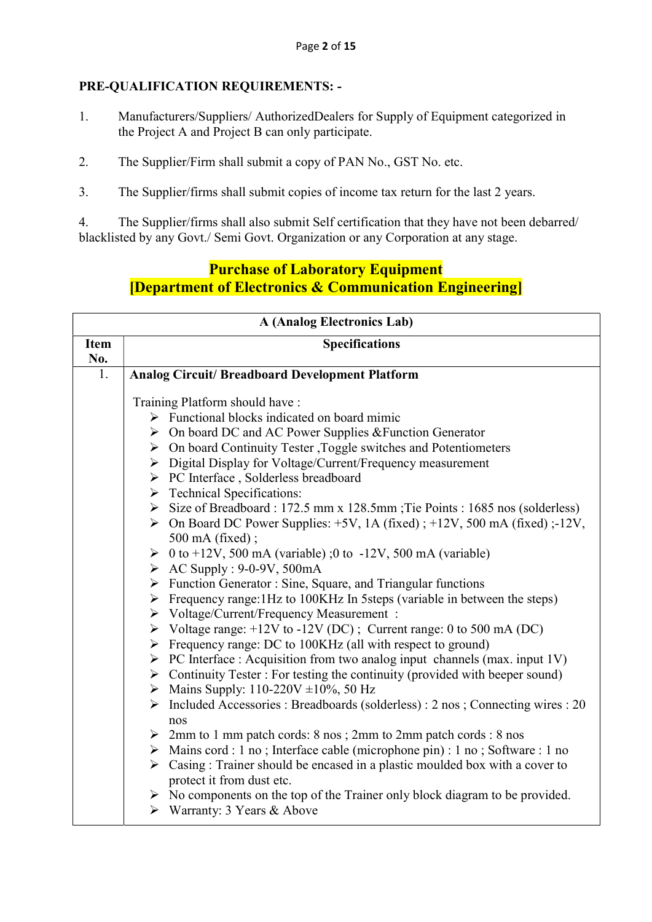#### PRE-QUALIFICATION REQUIREMENTS: -

- 1. Manufacturers/Suppliers/ AuthorizedDealers for Supply of Equipment categorized in the Project A and Project B can only participate.
- 2. The Supplier/Firm shall submit a copy of PAN No., GST No. etc.
- 3. The Supplier/firms shall submit copies of income tax return for the last 2 years.

4. The Supplier/firms shall also submit Self certification that they have not been debarred/ blacklisted by any Govt./ Semi Govt. Organization or any Corporation at any stage.

## Purchase of Laboratory Equipment [Department of Electronics & Communication Engineering]

| <b>A (Analog Electronics Lab)</b> |                                                                                                                |  |
|-----------------------------------|----------------------------------------------------------------------------------------------------------------|--|
| <b>Item</b>                       | <b>Specifications</b>                                                                                          |  |
| No.                               |                                                                                                                |  |
| 1.                                | <b>Analog Circuit/ Breadboard Development Platform</b>                                                         |  |
|                                   |                                                                                                                |  |
|                                   | Training Platform should have:                                                                                 |  |
|                                   | $\triangleright$ Functional blocks indicated on board mimic                                                    |  |
|                                   | $\triangleright$ On board DC and AC Power Supplies & Function Generator                                        |  |
|                                   | $\triangleright$ On board Continuity Tester , Toggle switches and Potentiometers                               |  |
|                                   | > Digital Display for Voltage/Current/Frequency measurement                                                    |  |
|                                   | > PC Interface, Solderless breadboard                                                                          |  |
|                                   | $\triangleright$ Technical Specifications:                                                                     |  |
|                                   | Size of Breadboard : 172.5 mm x 128.5 mm ; Tie Points : 1685 nos (solderless)                                  |  |
|                                   | $\triangleright$ On Board DC Power Supplies: +5V, 1A (fixed); +12V, 500 mA (fixed); -12V,<br>500 mA (fixed);   |  |
|                                   |                                                                                                                |  |
|                                   | $\geq 0$ to +12V, 500 mA (variable);0 to -12V, 500 mA (variable)<br>$\triangleright$ AC Supply : 9-0-9V, 500mA |  |
|                                   | > Function Generator: Sine, Square, and Triangular functions                                                   |  |
|                                   | $\triangleright$ Frequency range: 1Hz to 100KHz In 5steps (variable in between the steps)                      |  |
|                                   | > Voltage/Current/Frequency Measurement :                                                                      |  |
|                                   | $\triangleright$ Voltage range: +12V to -12V (DC); Current range: 0 to 500 mA (DC)                             |  |
|                                   | $\triangleright$ Frequency range: DC to 100KHz (all with respect to ground)                                    |  |
|                                   | $\triangleright$ PC Interface : Acquisition from two analog input channels (max. input 1V)                     |  |
|                                   | $\triangleright$ Continuity Tester : For testing the continuity (provided with beeper sound)                   |  |
|                                   | • Mains Supply: 110-220V $\pm 10\%$ , 50 Hz                                                                    |  |
|                                   | $\triangleright$ Included Accessories : Breadboards (solderless) : 2 nos ; Connecting wires : 20               |  |
|                                   | nos                                                                                                            |  |
|                                   | $\geq 2$ mm to 1 mm patch cords: 8 nos ; 2mm to 2mm patch cords : 8 nos                                        |  |
|                                   | > Mains cord : 1 no; Interface cable (microphone pin) : 1 no; Software : 1 no                                  |  |
|                                   | $\triangleright$ Casing : Trainer should be encased in a plastic moulded box with a cover to                   |  |
|                                   | protect it from dust etc.                                                                                      |  |
|                                   | $\triangleright$ No components on the top of the Trainer only block diagram to be provided.                    |  |
|                                   | $\triangleright$ Warranty: 3 Years & Above                                                                     |  |
|                                   |                                                                                                                |  |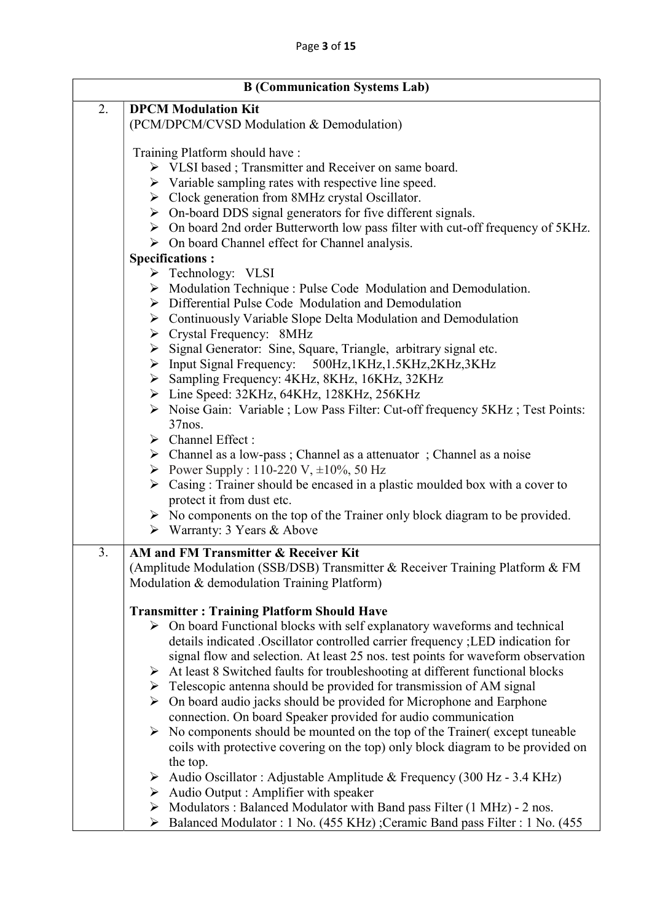| <b>B</b> (Communication Systems Lab) |                                                                                                                           |  |
|--------------------------------------|---------------------------------------------------------------------------------------------------------------------------|--|
| 2.<br><b>DPCM Modulation Kit</b>     |                                                                                                                           |  |
|                                      | (PCM/DPCM/CVSD Modulation & Demodulation)                                                                                 |  |
|                                      | Training Platform should have:                                                                                            |  |
|                                      | > VLSI based; Transmitter and Receiver on same board.                                                                     |  |
|                                      | $\triangleright$ Variable sampling rates with respective line speed.                                                      |  |
|                                      | > Clock generation from 8MHz crystal Oscillator.                                                                          |  |
|                                      | $\triangleright$ On-board DDS signal generators for five different signals.                                               |  |
|                                      | $\triangleright$ On board 2nd order Butterworth low pass filter with cut-off frequency of 5KHz.                           |  |
|                                      | $\triangleright$ On board Channel effect for Channel analysis.                                                            |  |
|                                      | <b>Specifications:</b>                                                                                                    |  |
|                                      | > Technology: VLSI                                                                                                        |  |
|                                      | $\triangleright$ Modulation Technique : Pulse Code Modulation and Demodulation.                                           |  |
|                                      | > Differential Pulse Code Modulation and Demodulation                                                                     |  |
|                                      | $\triangleright$ Continuously Variable Slope Delta Modulation and Demodulation                                            |  |
|                                      | $\triangleright$ Crystal Frequency: 8MHz                                                                                  |  |
|                                      | > Signal Generator: Sine, Square, Triangle, arbitrary signal etc.                                                         |  |
|                                      | > Input Signal Frequency: 500Hz,1KHz,1.5KHz,2KHz,3KHz                                                                     |  |
|                                      | > Sampling Frequency: 4KHz, 8KHz, 16KHz, 32KHz                                                                            |  |
|                                      | > Line Speed: 32KHz, 64KHz, 128KHz, 256KHz                                                                                |  |
|                                      | > Noise Gain: Variable ; Low Pass Filter: Cut-off frequency 5KHz; Test Points:                                            |  |
|                                      | $37$ nos.                                                                                                                 |  |
|                                      | $\triangleright$ Channel Effect :                                                                                         |  |
|                                      | $\triangleright$ Channel as a low-pass; Channel as a attenuator; Channel as a noise                                       |  |
|                                      | Power Supply : 110-220 V, $\pm 10\%$ , 50 Hz                                                                              |  |
|                                      | $\triangleright$ Casing : Trainer should be encased in a plastic moulded box with a cover to<br>protect it from dust etc. |  |
|                                      | $\triangleright$ No components on the top of the Trainer only block diagram to be provided.                               |  |
|                                      | $\triangleright$ Warranty: 3 Years & Above                                                                                |  |
|                                      |                                                                                                                           |  |
| 3.                                   | AM and FM Transmitter & Receiver Kit                                                                                      |  |
|                                      | (Amplitude Modulation (SSB/DSB) Transmitter & Receiver Training Platform & FM                                             |  |
|                                      | Modulation & demodulation Training Platform)                                                                              |  |
|                                      | <b>Transmitter: Training Platform Should Have</b>                                                                         |  |
|                                      | $\triangleright$ On board Functional blocks with self explanatory waveforms and technical                                 |  |
|                                      | details indicated .Oscillator controlled carrier frequency ;LED indication for                                            |  |
|                                      | signal flow and selection. At least 25 nos. test points for waveform observation                                          |  |
|                                      | $\triangleright$ At least 8 Switched faults for troubleshooting at different functional blocks                            |  |
|                                      | $\triangleright$ Telescopic antenna should be provided for transmission of AM signal                                      |  |
|                                      | $\triangleright$ On board audio jacks should be provided for Microphone and Earphone                                      |  |
|                                      | connection. On board Speaker provided for audio communication                                                             |  |
|                                      | $\triangleright$ No components should be mounted on the top of the Trainer (except tuneable                               |  |
|                                      | coils with protective covering on the top) only block diagram to be provided on                                           |  |
|                                      | the top.                                                                                                                  |  |
|                                      | Audio Oscillator : Adjustable Amplitude & Frequency (300 Hz - 3.4 KHz)                                                    |  |
|                                      | > Audio Output : Amplifier with speaker                                                                                   |  |
|                                      | $\triangleright$ Modulators : Balanced Modulator with Band pass Filter (1 MHz) - 2 nos.                                   |  |
|                                      | Balanced Modulator : 1 No. (455 KHz) ;Ceramic Band pass Filter : 1 No. (455<br>≻                                          |  |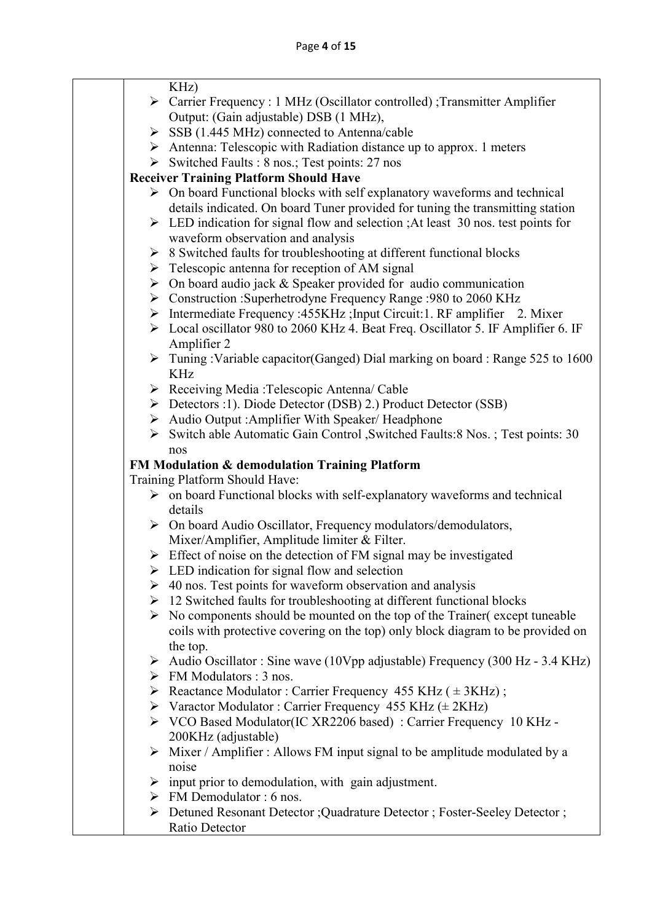| KHz)                                                                                                                     |
|--------------------------------------------------------------------------------------------------------------------------|
| > Carrier Frequency : 1 MHz (Oscillator controlled) ; Transmitter Amplifier                                              |
| Output: (Gain adjustable) DSB (1 MHz),                                                                                   |
| $\triangleright$ SSB (1.445 MHz) connected to Antenna/cable                                                              |
| $\triangleright$ Antenna: Telescopic with Radiation distance up to approx. 1 meters                                      |
| Switched Faults : 8 nos.; Test points: 27 nos                                                                            |
| <b>Receiver Training Platform Should Have</b>                                                                            |
| $\triangleright$ On board Functional blocks with self explanatory waveforms and technical                                |
| details indicated. On board Tuner provided for tuning the transmitting station                                           |
| $\triangleright$ LED indication for signal flow and selection ; At least 30 nos. test points for                         |
| waveform observation and analysis                                                                                        |
| $\triangleright$ 8 Switched faults for troubleshooting at different functional blocks                                    |
| $\triangleright$ Telescopic antenna for reception of AM signal                                                           |
| $\triangleright$ On board audio jack & Speaker provided for audio communication                                          |
| > Construction :Superhetrodyne Frequency Range :980 to 2060 KHz                                                          |
| > Intermediate Frequency : 455KHz ; Input Circuit: 1. RF amplifier 2. Mixer                                              |
| > Local oscillator 980 to 2060 KHz 4. Beat Freq. Oscillator 5. IF Amplifier 6. IF                                        |
| Amplifier 2                                                                                                              |
| $\triangleright$ Tuning: Variable capacitor (Ganged) Dial marking on board: Range 525 to 1600                            |
| <b>KHz</b>                                                                                                               |
| > Receiving Media: Telescopic Antenna/ Cable                                                                             |
| ▶ Detectors :1). Diode Detector (DSB) 2.) Product Detector (SSB)<br>Audio Output: Amplifier With Speaker/Headphone       |
| Switch able Automatic Gain Control, Switched Faults: 8 Nos.; Test points: 30                                             |
| nos                                                                                                                      |
| FM Modulation & demodulation Training Platform                                                                           |
| Training Platform Should Have:                                                                                           |
| $\triangleright$ on board Functional blocks with self-explanatory waveforms and technical                                |
| details                                                                                                                  |
| $\triangleright$ On board Audio Oscillator, Frequency modulators/demodulators,                                           |
| Mixer/Amplifier, Amplitude limiter & Filter.                                                                             |
| $\triangleright$ Effect of noise on the detection of FM signal may be investigated                                       |
| $\triangleright$ LED indication for signal flow and selection                                                            |
| $\geq 40$ nos. Test points for waveform observation and analysis                                                         |
| $\geq$ 12 Switched faults for troubleshooting at different functional blocks                                             |
| No components should be mounted on the top of the Trainer (except tuneable                                               |
| coils with protective covering on the top) only block diagram to be provided on                                          |
| the top.                                                                                                                 |
| Audio Oscillator: Sine wave (10Vpp adjustable) Frequency (300 Hz - 3.4 KHz)                                              |
| $\triangleright$ FM Modulators : 3 nos.                                                                                  |
| Exercise Modulator: Carrier Frequency 455 KHz ( $\pm$ 3KHz);                                                             |
| $\triangleright$ Varactor Modulator : Carrier Frequency 455 KHz ( $\pm$ 2KHz)                                            |
| > VCO Based Modulator(IC XR2206 based) : Carrier Frequency 10 KHz -<br>200KHz (adjustable)                               |
| $\triangleright$ Mixer / Amplifier : Allows FM input signal to be amplitude modulated by a                               |
| noise                                                                                                                    |
|                                                                                                                          |
|                                                                                                                          |
| $\triangleright$ input prior to demodulation, with gain adjustment.                                                      |
| $\triangleright$ FM Demodulator : 6 nos.<br>> Detuned Resonant Detector ; Quadrature Detector ; Foster-Seeley Detector ; |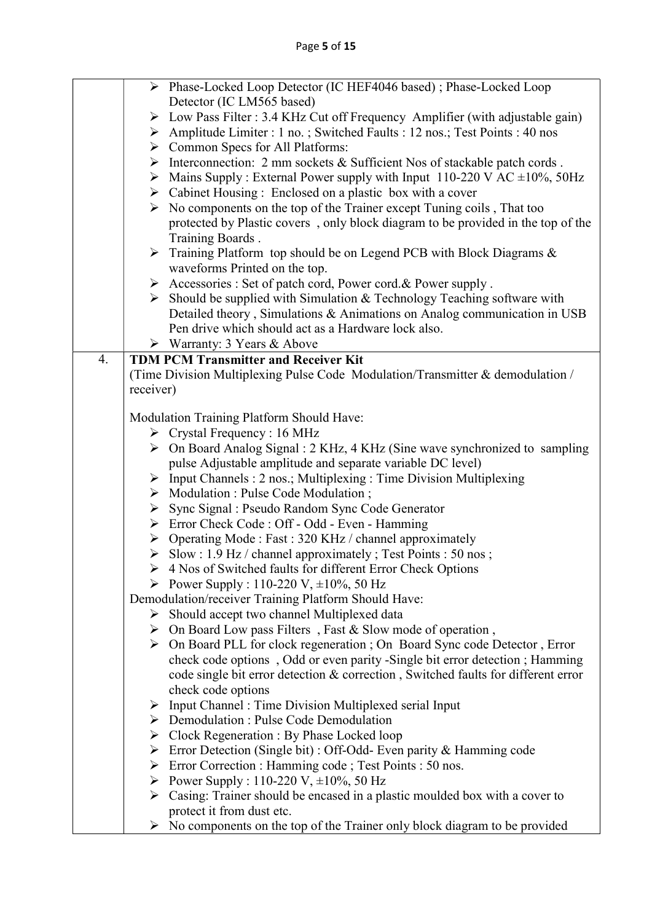|    |           | > Phase-Locked Loop Detector (IC HEF4046 based) ; Phase-Locked Loop                             |
|----|-----------|-------------------------------------------------------------------------------------------------|
|    |           | Detector (IC LM565 based)                                                                       |
|    |           | $\triangleright$ Low Pass Filter : 3.4 KHz Cut off Frequency Amplifier (with adjustable gain)   |
|    |           | Amplitude Limiter : 1 no.; Switched Faults : 12 nos.; Test Points : 40 nos                      |
|    |           | > Common Specs for All Platforms:                                                               |
|    |           | $\triangleright$ Interconnection: 2 mm sockets & Sufficient Nos of stackable patch cords.       |
|    |           | $\triangleright$ Mains Supply : External Power supply with Input 110-220 V AC $\pm 10\%$ , 50Hz |
|    |           | $\triangleright$ Cabinet Housing : Enclosed on a plastic box with a cover                       |
|    |           | $\triangleright$ No components on the top of the Trainer except Tuning coils, That too          |
|    |           | protected by Plastic covers, only block diagram to be provided in the top of the                |
|    |           | Training Boards.                                                                                |
|    |           | $\triangleright$ Training Platform top should be on Legend PCB with Block Diagrams &            |
|    |           | waveforms Printed on the top.                                                                   |
|    |           | > Accessories : Set of patch cord, Power cord. & Power supply.                                  |
|    |           | $\triangleright$ Should be supplied with Simulation & Technology Teaching software with         |
|    |           | Detailed theory, Simulations & Animations on Analog communication in USB                        |
|    |           | Pen drive which should act as a Hardware lock also.                                             |
|    |           | $\triangleright$ Warranty: 3 Years & Above                                                      |
| 4. |           | <b>TDM PCM Transmitter and Receiver Kit</b>                                                     |
|    |           | (Time Division Multiplexing Pulse Code Modulation/Transmitter & demodulation /                  |
|    | receiver) |                                                                                                 |
|    |           |                                                                                                 |
|    |           | Modulation Training Platform Should Have:                                                       |
|    |           | $\triangleright$ Crystal Frequency : 16 MHz                                                     |
|    |           | $\triangleright$ On Board Analog Signal : 2 KHz, 4 KHz (Sine wave synchronized to sampling      |
|    |           | pulse Adjustable amplitude and separate variable DC level)                                      |
|    |           | $\triangleright$ Input Channels : 2 nos.; Multiplexing : Time Division Multiplexing             |
|    |           | $\triangleright$ Modulation : Pulse Code Modulation ;                                           |
|    |           | ▶ Sync Signal : Pseudo Random Sync Code Generator                                               |
|    |           | > Error Check Code : Off - Odd - Even - Hamming                                                 |
|    |           | $\triangleright$ Operating Mode : Fast : 320 KHz / channel approximately                        |
|    |           | Slow: $1.9$ Hz / channel approximately; Test Points : 50 nos;                                   |
|    |           | > 4 Nos of Switched faults for different Error Check Options                                    |
|    |           | Power Supply : 110-220 V, $\pm 10\%$ , 50 Hz                                                    |
|    |           | Demodulation/receiver Training Platform Should Have:                                            |
|    |           | $\triangleright$ Should accept two channel Multiplexed data                                     |
|    |           | $\triangleright$ On Board Low pass Filters, Fast & Slow mode of operation,                      |
|    |           | > On Board PLL for clock regeneration ; On Board Sync code Detector, Error                      |
|    |           | check code options, Odd or even parity -Single bit error detection; Hamming                     |
|    |           | code single bit error detection & correction, Switched faults for different error               |
|    |           | check code options                                                                              |
|    |           | $\triangleright$ Input Channel : Time Division Multiplexed serial Input                         |
|    |           | $\triangleright$ Demodulation : Pulse Code Demodulation                                         |
|    |           | $\triangleright$ Clock Regeneration : By Phase Locked loop                                      |
|    |           | $\triangleright$ Error Detection (Single bit) : Off-Odd- Even parity & Hamming code             |
|    |           | ► Error Correction : Hamming code ; Test Points : 50 nos.                                       |
|    |           | Power Supply : 110-220 V, $\pm 10\%$ , 50 Hz                                                    |
|    |           | $\triangleright$ Casing: Trainer should be encased in a plastic moulded box with a cover to     |
|    |           | protect it from dust etc.                                                                       |
|    |           | $\triangleright$ No components on the top of the Trainer only block diagram to be provided      |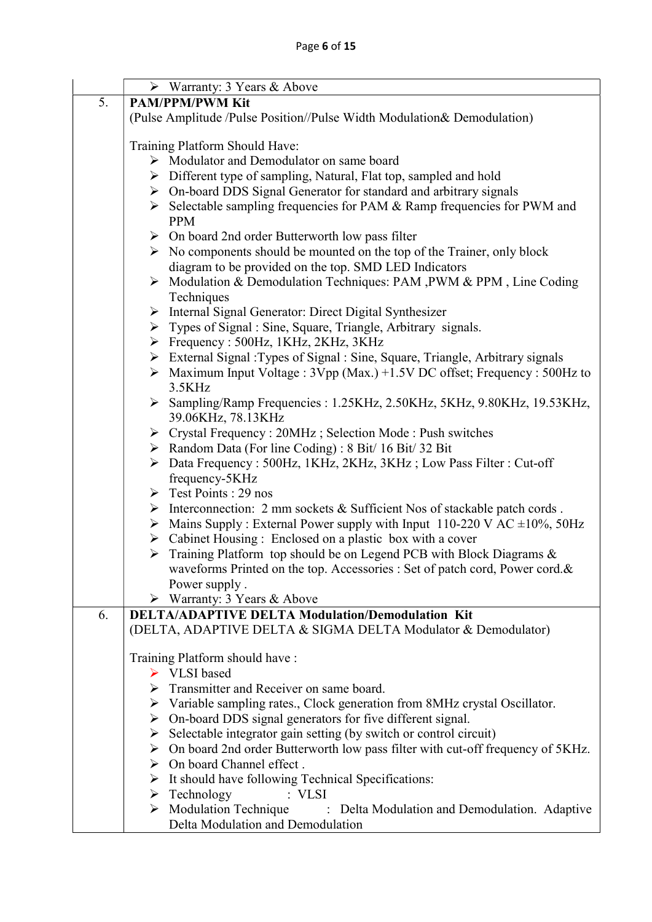|    | $\triangleright$ Warranty: 3 Years & Above                                                            |  |
|----|-------------------------------------------------------------------------------------------------------|--|
| 5. | <b>PAM/PPM/PWM Kit</b>                                                                                |  |
|    | (Pulse Amplitude /Pulse Position//Pulse Width Modulation& Demodulation)                               |  |
|    |                                                                                                       |  |
|    | Training Platform Should Have:                                                                        |  |
|    | > Modulator and Demodulator on same board                                                             |  |
|    | $\triangleright$ Different type of sampling, Natural, Flat top, sampled and hold                      |  |
|    | $\triangleright$ On-board DDS Signal Generator for standard and arbitrary signals                     |  |
|    | $\triangleright$ Selectable sampling frequencies for PAM & Ramp frequencies for PWM and<br><b>PPM</b> |  |
|    | $\triangleright$ On board 2nd order Butterworth low pass filter                                       |  |
|    | $\triangleright$ No components should be mounted on the top of the Trainer, only block                |  |
|    | diagram to be provided on the top. SMD LED Indicators                                                 |  |
|    | $\triangleright$ Modulation & Demodulation Techniques: PAM, PWM & PPM, Line Coding                    |  |
|    | Techniques                                                                                            |  |
|    | > Internal Signal Generator: Direct Digital Synthesizer                                               |  |
|    | $\triangleright$ Types of Signal : Sine, Square, Triangle, Arbitrary signals.                         |  |
|    | $\triangleright$ Frequency : 500Hz, 1KHz, 2KHz, 3KHz                                                  |  |
|    | > External Signal: Types of Signal: Sine, Square, Triangle, Arbitrary signals                         |  |
|    | $\triangleright$ Maximum Input Voltage : 3Vpp (Max.) +1.5V DC offset; Frequency : 500Hz to            |  |
|    | 3.5KHz                                                                                                |  |
|    | > Sampling/Ramp Frequencies : 1.25KHz, 2.50KHz, 5KHz, 9.80KHz, 19.53KHz,                              |  |
|    | 39.06KHz, 78.13KHz                                                                                    |  |
|    | > Crystal Frequency: 20MHz; Selection Mode: Push switches                                             |  |
|    | $\triangleright$ Random Data (For line Coding) : 8 Bit/ 16 Bit/ 32 Bit                                |  |
|    | > Data Frequency: 500Hz, 1KHz, 2KHz, 3KHz; Low Pass Filter: Cut-off<br>frequency-5KHz                 |  |
|    | $\triangleright$ Test Points : 29 nos                                                                 |  |
|    | $\triangleright$ Interconnection: 2 mm sockets & Sufficient Nos of stackable patch cords.             |  |
|    | $\triangleright$ Mains Supply: External Power supply with Input 110-220 V AC $\pm 10\%$ , 50Hz        |  |
|    | $\triangleright$ Cabinet Housing : Enclosed on a plastic box with a cover                             |  |
|    | $\triangleright$ Training Platform top should be on Legend PCB with Block Diagrams &                  |  |
|    | waveforms Printed on the top. Accessories : Set of patch cord, Power cord.&                           |  |
|    | Power supply.                                                                                         |  |
|    | $\triangleright$ Warranty: 3 Years & Above                                                            |  |
| 6. | <b>DELTA/ADAPTIVE DELTA Modulation/Demodulation Kit</b>                                               |  |
|    | (DELTA, ADAPTIVE DELTA & SIGMA DELTA Modulator & Demodulator)                                         |  |
|    | Training Platform should have:                                                                        |  |
|    | ▶ VLSI based                                                                                          |  |
|    | > Transmitter and Receiver on same board.                                                             |  |
|    | $\triangleright$ Variable sampling rates., Clock generation from 8MHz crystal Oscillator.             |  |
|    | $\triangleright$ On-board DDS signal generators for five different signal.                            |  |
|    | Selectable integrator gain setting (by switch or control circuit)<br>≻                                |  |
|    | $\triangleright$ On board 2nd order Butterworth low pass filter with cut-off frequency of 5KHz.       |  |
|    | $\triangleright$ On board Channel effect.                                                             |  |
|    | $\triangleright$ It should have following Technical Specifications:                                   |  |
|    | $\triangleright$ Technology<br>: VLSI                                                                 |  |
|    | $\triangleright$ Modulation Technique<br>: Delta Modulation and Demodulation. Adaptive                |  |
|    | Delta Modulation and Demodulation                                                                     |  |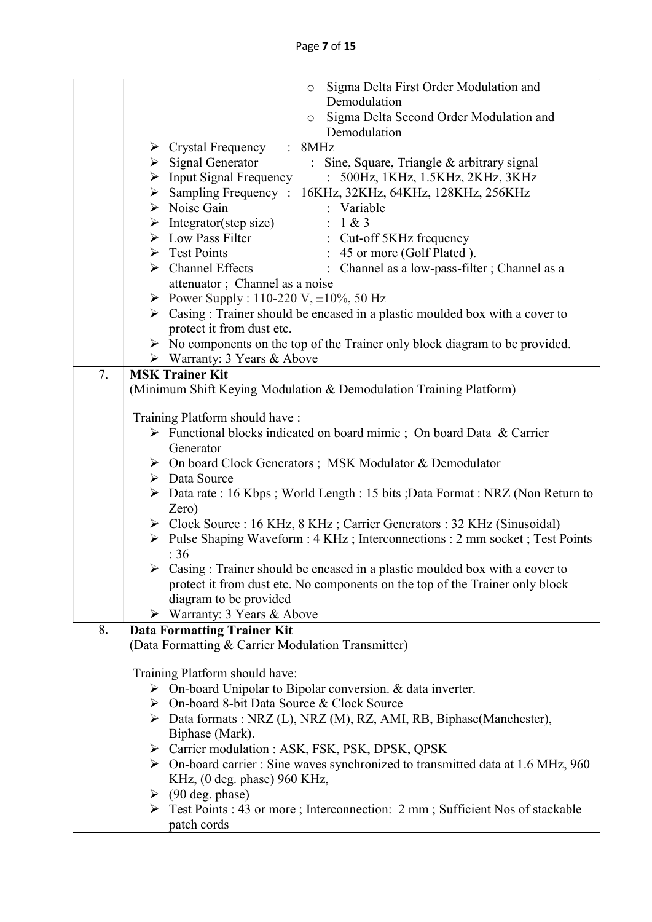|    | Sigma Delta First Order Modulation and<br>$\circ$                                                        |  |  |
|----|----------------------------------------------------------------------------------------------------------|--|--|
|    | Demodulation                                                                                             |  |  |
|    | Sigma Delta Second Order Modulation and<br>$\circ$                                                       |  |  |
|    | Demodulation                                                                                             |  |  |
|    | $\triangleright$ Crystal Frequency : 8MHz                                                                |  |  |
|    | > Signal Generator : Sine, Square, Triangle & arbitrary signal                                           |  |  |
|    | > Input Signal Frequency : 500Hz, 1KHz, 1.5KHz, 2KHz, 3KHz                                               |  |  |
|    | > Sampling Frequency : 16KHz, 32KHz, 64KHz, 128KHz, 256KHz                                               |  |  |
|    |                                                                                                          |  |  |
|    |                                                                                                          |  |  |
|    | > Noise Gain : Variable<br>> Integrator(step size) : 1 & 3<br>> Low Pass Filter : Cut-off 5KHz frequency |  |  |
|    | : 45 or more (Golf Plated).<br>$\triangleright$ Test Points                                              |  |  |
|    | : Channel as a low-pass-filter; Channel as a<br>$\triangleright$ Channel Effects                         |  |  |
|    | attenuator; Channel as a noise                                                                           |  |  |
|    | Power Supply : 110-220 V, $\pm 10\%$ , 50 Hz                                                             |  |  |
|    | $\triangleright$ Casing : Trainer should be encased in a plastic moulded box with a cover to             |  |  |
|    | protect it from dust etc.                                                                                |  |  |
|    | $\triangleright$ No components on the top of the Trainer only block diagram to be provided.              |  |  |
|    | ▶ Warranty: 3 Years & Above                                                                              |  |  |
| 7. | <b>MSK Trainer Kit</b>                                                                                   |  |  |
|    | (Minimum Shift Keying Modulation & Demodulation Training Platform)                                       |  |  |
|    |                                                                                                          |  |  |
|    | Training Platform should have:                                                                           |  |  |
|    | $\triangleright$ Functional blocks indicated on board mimic; On board Data & Carrier                     |  |  |
|    | Generator                                                                                                |  |  |
|    | > On board Clock Generators; MSK Modulator & Demodulator                                                 |  |  |
|    | $\triangleright$ Data Source                                                                             |  |  |
|    | $\triangleright$ Data rate : 16 Kbps; World Length : 15 bits; Data Format : NRZ (Non Return to           |  |  |
|    | Zero)                                                                                                    |  |  |
|    | > Clock Source : 16 KHz, 8 KHz; Carrier Generators : 32 KHz (Sinusoidal)                                 |  |  |
|    | > Pulse Shaping Waveform : 4 KHz; Interconnections : 2 mm socket; Test Points                            |  |  |
|    | :36                                                                                                      |  |  |
|    | $\triangleright$ Casing : Trainer should be encased in a plastic moulded box with a cover to             |  |  |
|    | protect it from dust etc. No components on the top of the Trainer only block                             |  |  |
|    | diagram to be provided                                                                                   |  |  |
|    | $\triangleright$ Warranty: 3 Years & Above                                                               |  |  |
| 8. | <b>Data Formatting Trainer Kit</b>                                                                       |  |  |
|    | (Data Formatting & Carrier Modulation Transmitter)                                                       |  |  |
|    |                                                                                                          |  |  |
|    | Training Platform should have:                                                                           |  |  |
|    | $\triangleright$ On-board Unipolar to Bipolar conversion. & data inverter.                               |  |  |
|    | > On-board 8-bit Data Source & Clock Source                                                              |  |  |
|    | > Data formats : NRZ (L), NRZ (M), RZ, AMI, RB, Biphase(Manchester),                                     |  |  |
|    | Biphase (Mark).                                                                                          |  |  |
|    | > Carrier modulation : ASK, FSK, PSK, DPSK, QPSK                                                         |  |  |
|    | $\triangleright$ On-board carrier : Sine waves synchronized to transmitted data at 1.6 MHz, 960          |  |  |
|    | KHz, (0 deg. phase) 960 KHz,                                                                             |  |  |
|    | $\triangleright$ (90 deg. phase)                                                                         |  |  |
|    | $\triangleright$ Test Points : 43 or more ; Interconnection: 2 mm ; Sufficient Nos of stackable          |  |  |
|    | patch cords                                                                                              |  |  |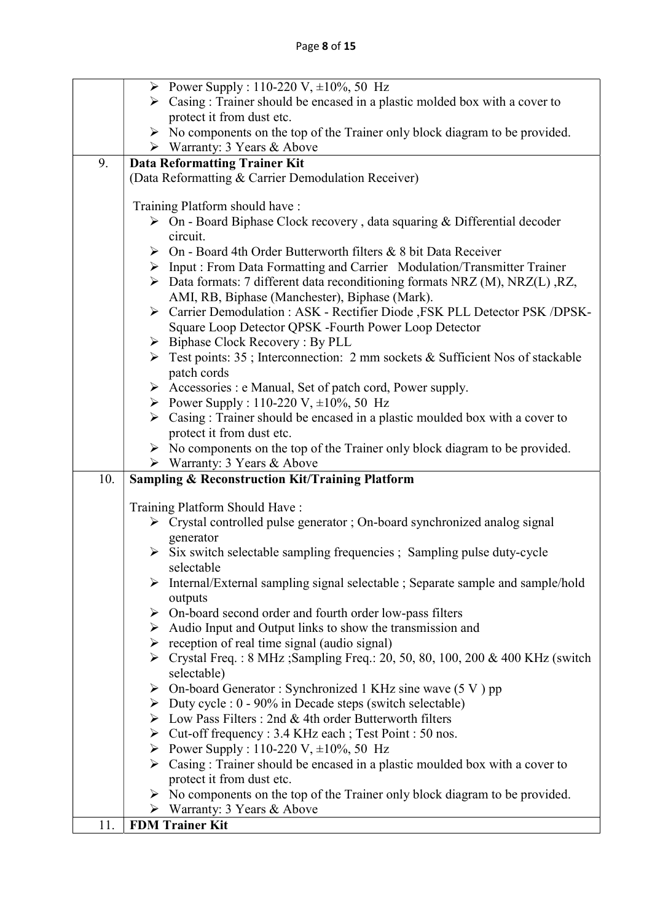| $\triangleright$ Casing : Trainer should be encased in a plastic molded box with a cover to<br>protect it from dust etc.<br>$\triangleright$ No components on the top of the Trainer only block diagram to be provided.<br>▶ Warranty: 3 Years & Above<br>9.<br><b>Data Reformatting Trainer Kit</b><br>(Data Reformatting & Carrier Demodulation Receiver)<br>Training Platform should have:<br>> On - Board Biphase Clock recovery, data squaring & Differential decoder<br>circuit.<br>$\triangleright$ On - Board 4th Order Butterworth filters & 8 bit Data Receiver<br>> Input : From Data Formatting and Carrier Modulation/Transmitter Trainer<br>$\triangleright$ Data formats: 7 different data reconditioning formats NRZ (M), NRZ(L), RZ,<br>AMI, RB, Biphase (Manchester), Biphase (Mark).<br>> Carrier Demodulation : ASK - Rectifier Diode , FSK PLL Detector PSK /DPSK-<br>Square Loop Detector QPSK -Fourth Power Loop Detector<br>$\triangleright$ Biphase Clock Recovery : By PLL<br>$\triangleright$ Test points: 35; Interconnection: 2 mm sockets & Sufficient Nos of stackable<br>patch cords<br>> Accessories : e Manual, Set of patch cord, Power supply.<br>Power Supply : 110-220 V, $\pm 10\%$ , 50 Hz<br>$\triangleright$ Casing : Trainer should be encased in a plastic moulded box with a cover to<br>protect it from dust etc.<br>$\triangleright$ No components on the top of the Trainer only block diagram to be provided.<br>$\triangleright$ Warranty: 3 Years & Above<br>10.<br><b>Sampling &amp; Reconstruction Kit/Training Platform</b><br>Training Platform Should Have:<br>$\triangleright$ Crystal controlled pulse generator; On-board synchronized analog signal<br>generator<br>$\triangleright$ Six switch selectable sampling frequencies ; Sampling pulse duty-cycle<br>selectable<br>$\triangleright$ Internal/External sampling signal selectable; Separate sample and sample/hold<br>outputs<br>$\triangleright$ On-board second order and fourth order low-pass filters<br>$\triangleright$ Audio Input and Output links to show the transmission and<br>$\triangleright$ reception of real time signal (audio signal)<br>$\triangleright$ Crystal Freq.: 8 MHz; Sampling Freq.: 20, 50, 80, 100, 200 & 400 KHz (switch<br>selectable)<br>$\triangleright$ On-board Generator: Synchronized 1 KHz sine wave (5 V) pp<br>$\triangleright$ Duty cycle : 0 - 90% in Decade steps (switch selectable)<br>$\triangleright$ Low Pass Filters : 2nd & 4th order Butterworth filters<br>► Cut-off frequency : 3.4 KHz each ; Test Point : 50 nos.<br>Power Supply : 110-220 V, $\pm 10\%$ , 50 Hz<br>$\triangleright$ Casing : Trainer should be encased in a plastic moulded box with a cover to<br>protect it from dust etc.<br>$\triangleright$ No components on the top of the Trainer only block diagram to be provided. | Power Supply : 110-220 V, $\pm 10\%$ , 50 Hz |
|------------------------------------------------------------------------------------------------------------------------------------------------------------------------------------------------------------------------------------------------------------------------------------------------------------------------------------------------------------------------------------------------------------------------------------------------------------------------------------------------------------------------------------------------------------------------------------------------------------------------------------------------------------------------------------------------------------------------------------------------------------------------------------------------------------------------------------------------------------------------------------------------------------------------------------------------------------------------------------------------------------------------------------------------------------------------------------------------------------------------------------------------------------------------------------------------------------------------------------------------------------------------------------------------------------------------------------------------------------------------------------------------------------------------------------------------------------------------------------------------------------------------------------------------------------------------------------------------------------------------------------------------------------------------------------------------------------------------------------------------------------------------------------------------------------------------------------------------------------------------------------------------------------------------------------------------------------------------------------------------------------------------------------------------------------------------------------------------------------------------------------------------------------------------------------------------------------------------------------------------------------------------------------------------------------------------------------------------------------------------------------------------------------------------------------------------------------------------------------------------------------------------------------------------------------------------------------------------------------------------------------------------------------------------------------------------------------------------------------------------------------------------------------------------------------------------------------------------------------------------------|----------------------------------------------|
|                                                                                                                                                                                                                                                                                                                                                                                                                                                                                                                                                                                                                                                                                                                                                                                                                                                                                                                                                                                                                                                                                                                                                                                                                                                                                                                                                                                                                                                                                                                                                                                                                                                                                                                                                                                                                                                                                                                                                                                                                                                                                                                                                                                                                                                                                                                                                                                                                                                                                                                                                                                                                                                                                                                                                                                                                                                                              |                                              |
|                                                                                                                                                                                                                                                                                                                                                                                                                                                                                                                                                                                                                                                                                                                                                                                                                                                                                                                                                                                                                                                                                                                                                                                                                                                                                                                                                                                                                                                                                                                                                                                                                                                                                                                                                                                                                                                                                                                                                                                                                                                                                                                                                                                                                                                                                                                                                                                                                                                                                                                                                                                                                                                                                                                                                                                                                                                                              |                                              |
|                                                                                                                                                                                                                                                                                                                                                                                                                                                                                                                                                                                                                                                                                                                                                                                                                                                                                                                                                                                                                                                                                                                                                                                                                                                                                                                                                                                                                                                                                                                                                                                                                                                                                                                                                                                                                                                                                                                                                                                                                                                                                                                                                                                                                                                                                                                                                                                                                                                                                                                                                                                                                                                                                                                                                                                                                                                                              |                                              |
|                                                                                                                                                                                                                                                                                                                                                                                                                                                                                                                                                                                                                                                                                                                                                                                                                                                                                                                                                                                                                                                                                                                                                                                                                                                                                                                                                                                                                                                                                                                                                                                                                                                                                                                                                                                                                                                                                                                                                                                                                                                                                                                                                                                                                                                                                                                                                                                                                                                                                                                                                                                                                                                                                                                                                                                                                                                                              |                                              |
|                                                                                                                                                                                                                                                                                                                                                                                                                                                                                                                                                                                                                                                                                                                                                                                                                                                                                                                                                                                                                                                                                                                                                                                                                                                                                                                                                                                                                                                                                                                                                                                                                                                                                                                                                                                                                                                                                                                                                                                                                                                                                                                                                                                                                                                                                                                                                                                                                                                                                                                                                                                                                                                                                                                                                                                                                                                                              |                                              |
|                                                                                                                                                                                                                                                                                                                                                                                                                                                                                                                                                                                                                                                                                                                                                                                                                                                                                                                                                                                                                                                                                                                                                                                                                                                                                                                                                                                                                                                                                                                                                                                                                                                                                                                                                                                                                                                                                                                                                                                                                                                                                                                                                                                                                                                                                                                                                                                                                                                                                                                                                                                                                                                                                                                                                                                                                                                                              |                                              |
|                                                                                                                                                                                                                                                                                                                                                                                                                                                                                                                                                                                                                                                                                                                                                                                                                                                                                                                                                                                                                                                                                                                                                                                                                                                                                                                                                                                                                                                                                                                                                                                                                                                                                                                                                                                                                                                                                                                                                                                                                                                                                                                                                                                                                                                                                                                                                                                                                                                                                                                                                                                                                                                                                                                                                                                                                                                                              |                                              |
|                                                                                                                                                                                                                                                                                                                                                                                                                                                                                                                                                                                                                                                                                                                                                                                                                                                                                                                                                                                                                                                                                                                                                                                                                                                                                                                                                                                                                                                                                                                                                                                                                                                                                                                                                                                                                                                                                                                                                                                                                                                                                                                                                                                                                                                                                                                                                                                                                                                                                                                                                                                                                                                                                                                                                                                                                                                                              |                                              |
|                                                                                                                                                                                                                                                                                                                                                                                                                                                                                                                                                                                                                                                                                                                                                                                                                                                                                                                                                                                                                                                                                                                                                                                                                                                                                                                                                                                                                                                                                                                                                                                                                                                                                                                                                                                                                                                                                                                                                                                                                                                                                                                                                                                                                                                                                                                                                                                                                                                                                                                                                                                                                                                                                                                                                                                                                                                                              |                                              |
|                                                                                                                                                                                                                                                                                                                                                                                                                                                                                                                                                                                                                                                                                                                                                                                                                                                                                                                                                                                                                                                                                                                                                                                                                                                                                                                                                                                                                                                                                                                                                                                                                                                                                                                                                                                                                                                                                                                                                                                                                                                                                                                                                                                                                                                                                                                                                                                                                                                                                                                                                                                                                                                                                                                                                                                                                                                                              |                                              |
|                                                                                                                                                                                                                                                                                                                                                                                                                                                                                                                                                                                                                                                                                                                                                                                                                                                                                                                                                                                                                                                                                                                                                                                                                                                                                                                                                                                                                                                                                                                                                                                                                                                                                                                                                                                                                                                                                                                                                                                                                                                                                                                                                                                                                                                                                                                                                                                                                                                                                                                                                                                                                                                                                                                                                                                                                                                                              |                                              |
|                                                                                                                                                                                                                                                                                                                                                                                                                                                                                                                                                                                                                                                                                                                                                                                                                                                                                                                                                                                                                                                                                                                                                                                                                                                                                                                                                                                                                                                                                                                                                                                                                                                                                                                                                                                                                                                                                                                                                                                                                                                                                                                                                                                                                                                                                                                                                                                                                                                                                                                                                                                                                                                                                                                                                                                                                                                                              |                                              |
|                                                                                                                                                                                                                                                                                                                                                                                                                                                                                                                                                                                                                                                                                                                                                                                                                                                                                                                                                                                                                                                                                                                                                                                                                                                                                                                                                                                                                                                                                                                                                                                                                                                                                                                                                                                                                                                                                                                                                                                                                                                                                                                                                                                                                                                                                                                                                                                                                                                                                                                                                                                                                                                                                                                                                                                                                                                                              |                                              |
|                                                                                                                                                                                                                                                                                                                                                                                                                                                                                                                                                                                                                                                                                                                                                                                                                                                                                                                                                                                                                                                                                                                                                                                                                                                                                                                                                                                                                                                                                                                                                                                                                                                                                                                                                                                                                                                                                                                                                                                                                                                                                                                                                                                                                                                                                                                                                                                                                                                                                                                                                                                                                                                                                                                                                                                                                                                                              |                                              |
|                                                                                                                                                                                                                                                                                                                                                                                                                                                                                                                                                                                                                                                                                                                                                                                                                                                                                                                                                                                                                                                                                                                                                                                                                                                                                                                                                                                                                                                                                                                                                                                                                                                                                                                                                                                                                                                                                                                                                                                                                                                                                                                                                                                                                                                                                                                                                                                                                                                                                                                                                                                                                                                                                                                                                                                                                                                                              |                                              |
|                                                                                                                                                                                                                                                                                                                                                                                                                                                                                                                                                                                                                                                                                                                                                                                                                                                                                                                                                                                                                                                                                                                                                                                                                                                                                                                                                                                                                                                                                                                                                                                                                                                                                                                                                                                                                                                                                                                                                                                                                                                                                                                                                                                                                                                                                                                                                                                                                                                                                                                                                                                                                                                                                                                                                                                                                                                                              |                                              |
|                                                                                                                                                                                                                                                                                                                                                                                                                                                                                                                                                                                                                                                                                                                                                                                                                                                                                                                                                                                                                                                                                                                                                                                                                                                                                                                                                                                                                                                                                                                                                                                                                                                                                                                                                                                                                                                                                                                                                                                                                                                                                                                                                                                                                                                                                                                                                                                                                                                                                                                                                                                                                                                                                                                                                                                                                                                                              |                                              |
|                                                                                                                                                                                                                                                                                                                                                                                                                                                                                                                                                                                                                                                                                                                                                                                                                                                                                                                                                                                                                                                                                                                                                                                                                                                                                                                                                                                                                                                                                                                                                                                                                                                                                                                                                                                                                                                                                                                                                                                                                                                                                                                                                                                                                                                                                                                                                                                                                                                                                                                                                                                                                                                                                                                                                                                                                                                                              |                                              |
|                                                                                                                                                                                                                                                                                                                                                                                                                                                                                                                                                                                                                                                                                                                                                                                                                                                                                                                                                                                                                                                                                                                                                                                                                                                                                                                                                                                                                                                                                                                                                                                                                                                                                                                                                                                                                                                                                                                                                                                                                                                                                                                                                                                                                                                                                                                                                                                                                                                                                                                                                                                                                                                                                                                                                                                                                                                                              |                                              |
|                                                                                                                                                                                                                                                                                                                                                                                                                                                                                                                                                                                                                                                                                                                                                                                                                                                                                                                                                                                                                                                                                                                                                                                                                                                                                                                                                                                                                                                                                                                                                                                                                                                                                                                                                                                                                                                                                                                                                                                                                                                                                                                                                                                                                                                                                                                                                                                                                                                                                                                                                                                                                                                                                                                                                                                                                                                                              |                                              |
|                                                                                                                                                                                                                                                                                                                                                                                                                                                                                                                                                                                                                                                                                                                                                                                                                                                                                                                                                                                                                                                                                                                                                                                                                                                                                                                                                                                                                                                                                                                                                                                                                                                                                                                                                                                                                                                                                                                                                                                                                                                                                                                                                                                                                                                                                                                                                                                                                                                                                                                                                                                                                                                                                                                                                                                                                                                                              |                                              |
|                                                                                                                                                                                                                                                                                                                                                                                                                                                                                                                                                                                                                                                                                                                                                                                                                                                                                                                                                                                                                                                                                                                                                                                                                                                                                                                                                                                                                                                                                                                                                                                                                                                                                                                                                                                                                                                                                                                                                                                                                                                                                                                                                                                                                                                                                                                                                                                                                                                                                                                                                                                                                                                                                                                                                                                                                                                                              |                                              |
|                                                                                                                                                                                                                                                                                                                                                                                                                                                                                                                                                                                                                                                                                                                                                                                                                                                                                                                                                                                                                                                                                                                                                                                                                                                                                                                                                                                                                                                                                                                                                                                                                                                                                                                                                                                                                                                                                                                                                                                                                                                                                                                                                                                                                                                                                                                                                                                                                                                                                                                                                                                                                                                                                                                                                                                                                                                                              |                                              |
|                                                                                                                                                                                                                                                                                                                                                                                                                                                                                                                                                                                                                                                                                                                                                                                                                                                                                                                                                                                                                                                                                                                                                                                                                                                                                                                                                                                                                                                                                                                                                                                                                                                                                                                                                                                                                                                                                                                                                                                                                                                                                                                                                                                                                                                                                                                                                                                                                                                                                                                                                                                                                                                                                                                                                                                                                                                                              |                                              |
|                                                                                                                                                                                                                                                                                                                                                                                                                                                                                                                                                                                                                                                                                                                                                                                                                                                                                                                                                                                                                                                                                                                                                                                                                                                                                                                                                                                                                                                                                                                                                                                                                                                                                                                                                                                                                                                                                                                                                                                                                                                                                                                                                                                                                                                                                                                                                                                                                                                                                                                                                                                                                                                                                                                                                                                                                                                                              |                                              |
|                                                                                                                                                                                                                                                                                                                                                                                                                                                                                                                                                                                                                                                                                                                                                                                                                                                                                                                                                                                                                                                                                                                                                                                                                                                                                                                                                                                                                                                                                                                                                                                                                                                                                                                                                                                                                                                                                                                                                                                                                                                                                                                                                                                                                                                                                                                                                                                                                                                                                                                                                                                                                                                                                                                                                                                                                                                                              |                                              |
|                                                                                                                                                                                                                                                                                                                                                                                                                                                                                                                                                                                                                                                                                                                                                                                                                                                                                                                                                                                                                                                                                                                                                                                                                                                                                                                                                                                                                                                                                                                                                                                                                                                                                                                                                                                                                                                                                                                                                                                                                                                                                                                                                                                                                                                                                                                                                                                                                                                                                                                                                                                                                                                                                                                                                                                                                                                                              |                                              |
|                                                                                                                                                                                                                                                                                                                                                                                                                                                                                                                                                                                                                                                                                                                                                                                                                                                                                                                                                                                                                                                                                                                                                                                                                                                                                                                                                                                                                                                                                                                                                                                                                                                                                                                                                                                                                                                                                                                                                                                                                                                                                                                                                                                                                                                                                                                                                                                                                                                                                                                                                                                                                                                                                                                                                                                                                                                                              |                                              |
|                                                                                                                                                                                                                                                                                                                                                                                                                                                                                                                                                                                                                                                                                                                                                                                                                                                                                                                                                                                                                                                                                                                                                                                                                                                                                                                                                                                                                                                                                                                                                                                                                                                                                                                                                                                                                                                                                                                                                                                                                                                                                                                                                                                                                                                                                                                                                                                                                                                                                                                                                                                                                                                                                                                                                                                                                                                                              |                                              |
|                                                                                                                                                                                                                                                                                                                                                                                                                                                                                                                                                                                                                                                                                                                                                                                                                                                                                                                                                                                                                                                                                                                                                                                                                                                                                                                                                                                                                                                                                                                                                                                                                                                                                                                                                                                                                                                                                                                                                                                                                                                                                                                                                                                                                                                                                                                                                                                                                                                                                                                                                                                                                                                                                                                                                                                                                                                                              |                                              |
|                                                                                                                                                                                                                                                                                                                                                                                                                                                                                                                                                                                                                                                                                                                                                                                                                                                                                                                                                                                                                                                                                                                                                                                                                                                                                                                                                                                                                                                                                                                                                                                                                                                                                                                                                                                                                                                                                                                                                                                                                                                                                                                                                                                                                                                                                                                                                                                                                                                                                                                                                                                                                                                                                                                                                                                                                                                                              |                                              |
|                                                                                                                                                                                                                                                                                                                                                                                                                                                                                                                                                                                                                                                                                                                                                                                                                                                                                                                                                                                                                                                                                                                                                                                                                                                                                                                                                                                                                                                                                                                                                                                                                                                                                                                                                                                                                                                                                                                                                                                                                                                                                                                                                                                                                                                                                                                                                                                                                                                                                                                                                                                                                                                                                                                                                                                                                                                                              |                                              |
|                                                                                                                                                                                                                                                                                                                                                                                                                                                                                                                                                                                                                                                                                                                                                                                                                                                                                                                                                                                                                                                                                                                                                                                                                                                                                                                                                                                                                                                                                                                                                                                                                                                                                                                                                                                                                                                                                                                                                                                                                                                                                                                                                                                                                                                                                                                                                                                                                                                                                                                                                                                                                                                                                                                                                                                                                                                                              |                                              |
|                                                                                                                                                                                                                                                                                                                                                                                                                                                                                                                                                                                                                                                                                                                                                                                                                                                                                                                                                                                                                                                                                                                                                                                                                                                                                                                                                                                                                                                                                                                                                                                                                                                                                                                                                                                                                                                                                                                                                                                                                                                                                                                                                                                                                                                                                                                                                                                                                                                                                                                                                                                                                                                                                                                                                                                                                                                                              |                                              |
|                                                                                                                                                                                                                                                                                                                                                                                                                                                                                                                                                                                                                                                                                                                                                                                                                                                                                                                                                                                                                                                                                                                                                                                                                                                                                                                                                                                                                                                                                                                                                                                                                                                                                                                                                                                                                                                                                                                                                                                                                                                                                                                                                                                                                                                                                                                                                                                                                                                                                                                                                                                                                                                                                                                                                                                                                                                                              |                                              |
|                                                                                                                                                                                                                                                                                                                                                                                                                                                                                                                                                                                                                                                                                                                                                                                                                                                                                                                                                                                                                                                                                                                                                                                                                                                                                                                                                                                                                                                                                                                                                                                                                                                                                                                                                                                                                                                                                                                                                                                                                                                                                                                                                                                                                                                                                                                                                                                                                                                                                                                                                                                                                                                                                                                                                                                                                                                                              |                                              |
|                                                                                                                                                                                                                                                                                                                                                                                                                                                                                                                                                                                                                                                                                                                                                                                                                                                                                                                                                                                                                                                                                                                                                                                                                                                                                                                                                                                                                                                                                                                                                                                                                                                                                                                                                                                                                                                                                                                                                                                                                                                                                                                                                                                                                                                                                                                                                                                                                                                                                                                                                                                                                                                                                                                                                                                                                                                                              |                                              |
|                                                                                                                                                                                                                                                                                                                                                                                                                                                                                                                                                                                                                                                                                                                                                                                                                                                                                                                                                                                                                                                                                                                                                                                                                                                                                                                                                                                                                                                                                                                                                                                                                                                                                                                                                                                                                                                                                                                                                                                                                                                                                                                                                                                                                                                                                                                                                                                                                                                                                                                                                                                                                                                                                                                                                                                                                                                                              |                                              |
|                                                                                                                                                                                                                                                                                                                                                                                                                                                                                                                                                                                                                                                                                                                                                                                                                                                                                                                                                                                                                                                                                                                                                                                                                                                                                                                                                                                                                                                                                                                                                                                                                                                                                                                                                                                                                                                                                                                                                                                                                                                                                                                                                                                                                                                                                                                                                                                                                                                                                                                                                                                                                                                                                                                                                                                                                                                                              |                                              |
|                                                                                                                                                                                                                                                                                                                                                                                                                                                                                                                                                                                                                                                                                                                                                                                                                                                                                                                                                                                                                                                                                                                                                                                                                                                                                                                                                                                                                                                                                                                                                                                                                                                                                                                                                                                                                                                                                                                                                                                                                                                                                                                                                                                                                                                                                                                                                                                                                                                                                                                                                                                                                                                                                                                                                                                                                                                                              |                                              |
|                                                                                                                                                                                                                                                                                                                                                                                                                                                                                                                                                                                                                                                                                                                                                                                                                                                                                                                                                                                                                                                                                                                                                                                                                                                                                                                                                                                                                                                                                                                                                                                                                                                                                                                                                                                                                                                                                                                                                                                                                                                                                                                                                                                                                                                                                                                                                                                                                                                                                                                                                                                                                                                                                                                                                                                                                                                                              |                                              |
|                                                                                                                                                                                                                                                                                                                                                                                                                                                                                                                                                                                                                                                                                                                                                                                                                                                                                                                                                                                                                                                                                                                                                                                                                                                                                                                                                                                                                                                                                                                                                                                                                                                                                                                                                                                                                                                                                                                                                                                                                                                                                                                                                                                                                                                                                                                                                                                                                                                                                                                                                                                                                                                                                                                                                                                                                                                                              |                                              |
|                                                                                                                                                                                                                                                                                                                                                                                                                                                                                                                                                                                                                                                                                                                                                                                                                                                                                                                                                                                                                                                                                                                                                                                                                                                                                                                                                                                                                                                                                                                                                                                                                                                                                                                                                                                                                                                                                                                                                                                                                                                                                                                                                                                                                                                                                                                                                                                                                                                                                                                                                                                                                                                                                                                                                                                                                                                                              |                                              |
|                                                                                                                                                                                                                                                                                                                                                                                                                                                                                                                                                                                                                                                                                                                                                                                                                                                                                                                                                                                                                                                                                                                                                                                                                                                                                                                                                                                                                                                                                                                                                                                                                                                                                                                                                                                                                                                                                                                                                                                                                                                                                                                                                                                                                                                                                                                                                                                                                                                                                                                                                                                                                                                                                                                                                                                                                                                                              |                                              |
|                                                                                                                                                                                                                                                                                                                                                                                                                                                                                                                                                                                                                                                                                                                                                                                                                                                                                                                                                                                                                                                                                                                                                                                                                                                                                                                                                                                                                                                                                                                                                                                                                                                                                                                                                                                                                                                                                                                                                                                                                                                                                                                                                                                                                                                                                                                                                                                                                                                                                                                                                                                                                                                                                                                                                                                                                                                                              |                                              |
|                                                                                                                                                                                                                                                                                                                                                                                                                                                                                                                                                                                                                                                                                                                                                                                                                                                                                                                                                                                                                                                                                                                                                                                                                                                                                                                                                                                                                                                                                                                                                                                                                                                                                                                                                                                                                                                                                                                                                                                                                                                                                                                                                                                                                                                                                                                                                                                                                                                                                                                                                                                                                                                                                                                                                                                                                                                                              | $\triangleright$ Warranty: 3 Years & Above   |
| <b>FDM Trainer Kit</b><br>11.                                                                                                                                                                                                                                                                                                                                                                                                                                                                                                                                                                                                                                                                                                                                                                                                                                                                                                                                                                                                                                                                                                                                                                                                                                                                                                                                                                                                                                                                                                                                                                                                                                                                                                                                                                                                                                                                                                                                                                                                                                                                                                                                                                                                                                                                                                                                                                                                                                                                                                                                                                                                                                                                                                                                                                                                                                                |                                              |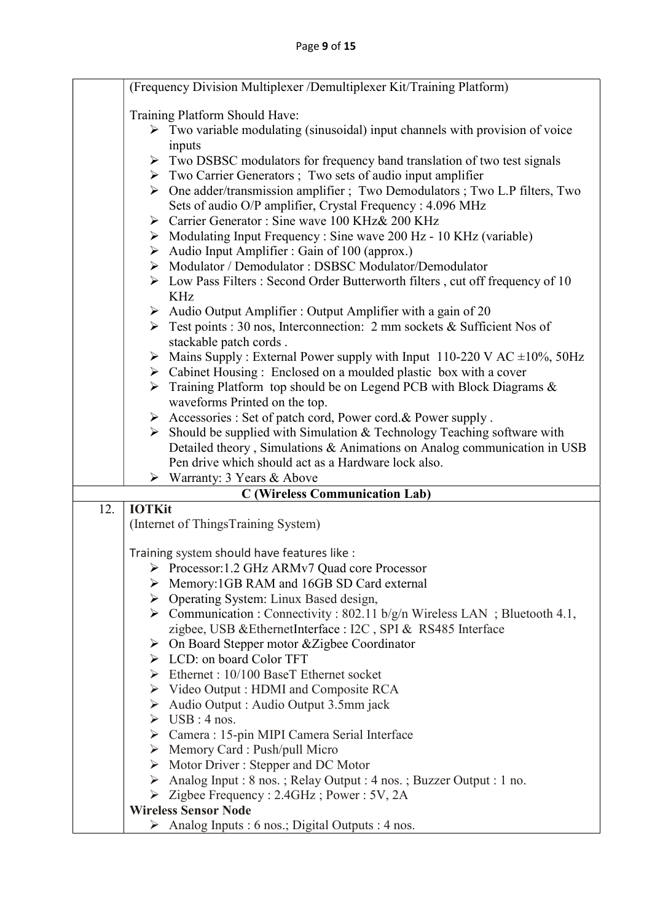|     |                                | (Frequency Division Multiplexer /Demultiplexer Kit/Training Platform)                                                                                                    |
|-----|--------------------------------|--------------------------------------------------------------------------------------------------------------------------------------------------------------------------|
|     | Training Platform Should Have: |                                                                                                                                                                          |
|     |                                | $\triangleright$ Two variable modulating (sinusoidal) input channels with provision of voice                                                                             |
|     |                                | inputs                                                                                                                                                                   |
|     |                                | $\triangleright$ Two DSBSC modulators for frequency band translation of two test signals<br>> Two Carrier Generators; Two sets of audio input amplifier                  |
|     |                                | > One adder/transmission amplifier ; Two Demodulators ; Two L.P filters, Two                                                                                             |
|     |                                | Sets of audio O/P amplifier, Crystal Frequency : 4.096 MHz                                                                                                               |
|     |                                | > Carrier Generator: Sine wave 100 KHz & 200 KHz                                                                                                                         |
|     |                                | $\triangleright$ Modulating Input Frequency : Sine wave 200 Hz - 10 KHz (variable)                                                                                       |
|     |                                | Audio Input Amplifier : Gain of 100 (approx.)                                                                                                                            |
|     |                                | > Modulator / Demodulator : DSBSC Modulator/Demodulator                                                                                                                  |
|     |                                | $\triangleright$ Low Pass Filters : Second Order Butterworth filters, cut off frequency of 10                                                                            |
|     |                                | <b>KHz</b>                                                                                                                                                               |
|     |                                | $\triangleright$ Audio Output Amplifier : Output Amplifier with a gain of 20<br>$\triangleright$ Test points : 30 nos, Interconnection: 2 mm sockets & Sufficient Nos of |
|     |                                | stackable patch cords.                                                                                                                                                   |
|     |                                | $\triangleright$ Mains Supply : External Power supply with Input 110-220 V AC $\pm 10\%$ , 50Hz                                                                          |
|     |                                | $\triangleright$ Cabinet Housing : Enclosed on a moulded plastic box with a cover                                                                                        |
|     |                                | $\triangleright$ Training Platform top should be on Legend PCB with Block Diagrams &                                                                                     |
|     |                                | waveforms Printed on the top.                                                                                                                                            |
|     |                                | > Accessories : Set of patch cord, Power cord. & Power supply.                                                                                                           |
|     |                                | $\triangleright$ Should be supplied with Simulation & Technology Teaching software with                                                                                  |
|     |                                | Detailed theory, Simulations & Animations on Analog communication in USB<br>Pen drive which should act as a Hardware lock also.                                          |
|     |                                | $\triangleright$ Warranty: 3 Years & Above                                                                                                                               |
|     |                                | <b>C</b> (Wireless Communication Lab)                                                                                                                                    |
| 12. | <b>IOTKit</b>                  |                                                                                                                                                                          |
|     |                                | (Internet of ThingsTraining System)                                                                                                                                      |
|     |                                | Training system should have features like :                                                                                                                              |
|     |                                | Processor: 1.2 GHz ARMv7 Quad core Processor                                                                                                                             |
|     |                                | > Memory:1GB RAM and 16GB SD Card external                                                                                                                               |
|     |                                | > Operating System: Linux Based design,                                                                                                                                  |
|     |                                | $\triangleright$ Communication : Connectivity : 802.11 b/g/n Wireless LAN ; Bluetooth 4.1,                                                                               |
|     |                                | zigbee, USB &EthernetInterface : I2C, SPI & RS485 Interface                                                                                                              |
|     |                                | $\triangleright$ On Board Stepper motor & Zigbee Coordinator<br>$\triangleright$ LCD: on board Color TFT                                                                 |
|     |                                | $\triangleright$ Ethernet : 10/100 BaseT Ethernet socket                                                                                                                 |
|     |                                | $\triangleright$ Video Output : HDMI and Composite RCA                                                                                                                   |
|     |                                | Audio Output : Audio Output 3.5mm jack                                                                                                                                   |
|     |                                | $\triangleright$ USB : 4 nos.                                                                                                                                            |
|     |                                | > Camera : 15-pin MIPI Camera Serial Interface                                                                                                                           |
|     |                                | $\triangleright$ Memory Card : Push/pull Micro                                                                                                                           |
|     |                                | $\triangleright$ Motor Driver: Stepper and DC Motor                                                                                                                      |
|     |                                | Analog Input: 8 nos.; Relay Output: 4 nos.; Buzzer Output: 1 no.                                                                                                         |
|     |                                | $\triangleright$ Zigbee Frequency : 2.4GHz; Power : 5V, 2A<br><b>Wireless Sensor Node</b>                                                                                |
|     | ➤                              | Analog Inputs : 6 nos.; Digital Outputs : 4 nos.                                                                                                                         |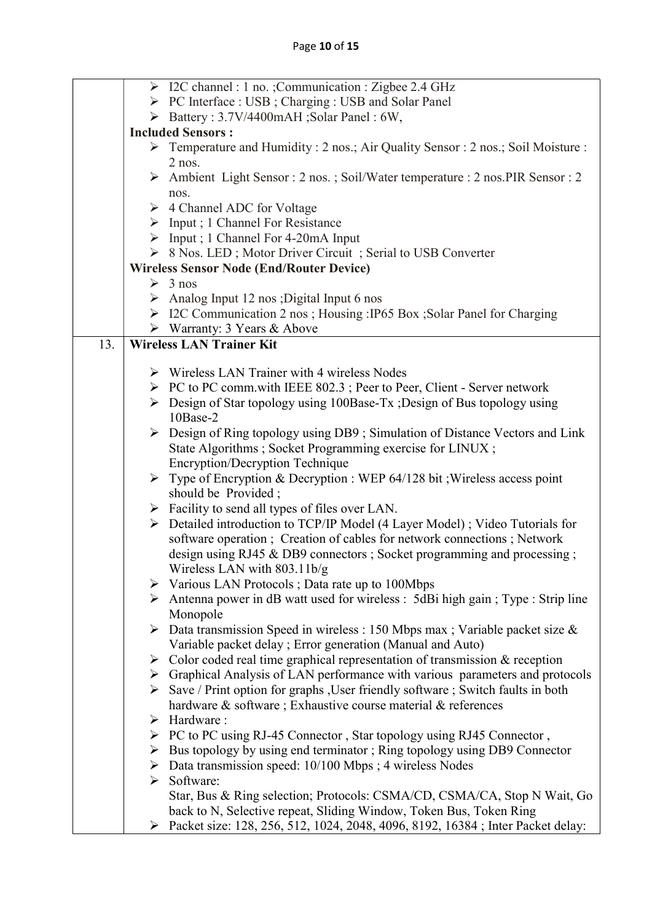|     | > I2C channel : 1 no. ;Communication : Zigbee 2.4 GHz                                                       |
|-----|-------------------------------------------------------------------------------------------------------------|
|     | > PC Interface : USB ; Charging : USB and Solar Panel                                                       |
|     | > Battery: 3.7V/4400mAH; Solar Panel: 6W,                                                                   |
|     | <b>Included Sensors:</b>                                                                                    |
|     | Femperature and Humidity : 2 nos.; Air Quality Sensor : 2 nos.; Soil Moisture :                             |
|     | $2$ nos.                                                                                                    |
|     | Ambient Light Sensor : 2 nos.; Soil/Water temperature : 2 nos.PIR Sensor : 2                                |
|     | nos.                                                                                                        |
|     | $\triangleright$ 4 Channel ADC for Voltage                                                                  |
|     | $\triangleright$ Input ; 1 Channel For Resistance                                                           |
|     | $\triangleright$ Input ; 1 Channel For 4-20mA Input                                                         |
|     | > 8 Nos. LED; Motor Driver Circuit; Serial to USB Converter                                                 |
|     | <b>Wireless Sensor Node (End/Router Device)</b>                                                             |
|     | $\geq 3$ nos                                                                                                |
|     | Analog Input 12 nos ; Digital Input 6 nos                                                                   |
|     | > I2C Communication 2 nos; Housing: IP65 Box; Solar Panel for Charging                                      |
|     | $\triangleright$ Warranty: 3 Years & Above                                                                  |
| 13. | <b>Wireless LAN Trainer Kit</b>                                                                             |
|     |                                                                                                             |
|     | $\triangleright$ Wireless LAN Trainer with 4 wireless Nodes                                                 |
|     | $\triangleright$ PC to PC comm.with IEEE 802.3; Peer to Peer, Client - Server network                       |
|     | $\triangleright$ Design of Star topology using 100Base-Tx; Design of Bus topology using                     |
|     | 10Base-2                                                                                                    |
|     | $\triangleright$ Design of Ring topology using DB9; Simulation of Distance Vectors and Link                 |
|     | State Algorithms ; Socket Programming exercise for LINUX ;                                                  |
|     | <b>Encryption/Decryption Technique</b>                                                                      |
|     | $\triangleright$ Type of Encryption & Decryption : WEP 64/128 bit ; Wireless access point                   |
|     | should be Provided;                                                                                         |
|     | $\triangleright$ Facility to send all types of files over LAN.                                              |
|     | > Detailed introduction to TCP/IP Model (4 Layer Model); Video Tutorials for                                |
|     | software operation; Creation of cables for network connections; Network                                     |
|     | design using RJ45 & DB9 connectors; Socket programming and processing;                                      |
|     | Wireless LAN with $803.11b/g$                                                                               |
|     | $\triangleright$ Various LAN Protocols; Data rate up to 100Mbps                                             |
|     | $\triangleright$ Antenna power in dB watt used for wireless : 5dBi high gain; Type : Strip line<br>Monopole |
|     | $\triangleright$ Data transmission Speed in wireless : 150 Mbps max ; Variable packet size &                |
|     | Variable packet delay; Error generation (Manual and Auto)                                                   |
|     | $\triangleright$ Color coded real time graphical representation of transmission & reception                 |
|     | $\triangleright$ Graphical Analysis of LAN performance with various parameters and protocols                |
|     | $\triangleright$ Save / Print option for graphs, User friendly software; Switch faults in both              |
|     | hardware & software; Exhaustive course material & references                                                |
|     | $\triangleright$ Hardware :                                                                                 |
|     | $\triangleright$ PC to PC using RJ-45 Connector, Star topology using RJ45 Connector,                        |
|     | $\triangleright$ Bus topology by using end terminator; Ring topology using DB9 Connector                    |
|     |                                                                                                             |
|     | $\triangleright$ Data transmission speed: 10/100 Mbps ; 4 wireless Nodes<br>$\triangleright$ Software:      |
|     | Star, Bus & Ring selection; Protocols: CSMA/CD, CSMA/CA, Stop N Wait, Go                                    |
|     | back to N, Selective repeat, Sliding Window, Token Bus, Token Ring                                          |
|     | ► Packet size: 128, 256, 512, 1024, 2048, 4096, 8192, 16384; Inter Packet delay:                            |
|     |                                                                                                             |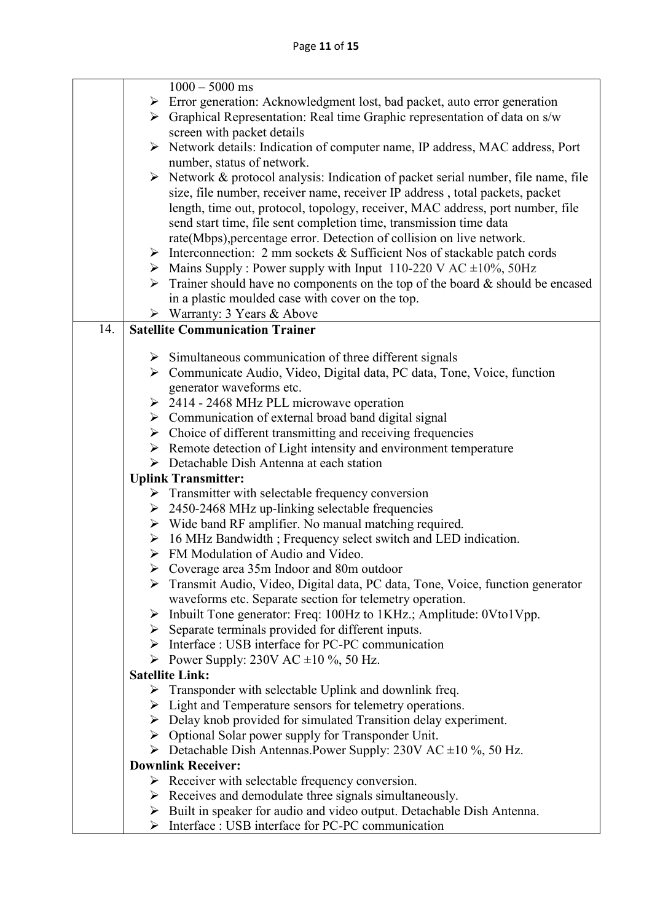|     | $1000 - 5000$ ms                                                                                                                             |
|-----|----------------------------------------------------------------------------------------------------------------------------------------------|
|     | $\triangleright$ Error generation: Acknowledgment lost, bad packet, auto error generation                                                    |
|     | $\triangleright$ Graphical Representation: Real time Graphic representation of data on s/w                                                   |
|     | screen with packet details                                                                                                                   |
|     | > Network details: Indication of computer name, IP address, MAC address, Port                                                                |
|     | number, status of network.                                                                                                                   |
|     | $\triangleright$ Network & protocol analysis: Indication of packet serial number, file name, file                                            |
|     | size, file number, receiver name, receiver IP address, total packets, packet                                                                 |
|     | length, time out, protocol, topology, receiver, MAC address, port number, file                                                               |
|     | send start time, file sent completion time, transmission time data                                                                           |
|     | rate(Mbps), percentage error. Detection of collision on live network.                                                                        |
|     | $\triangleright$ Interconnection: 2 mm sockets & Sufficient Nos of stackable patch cords                                                     |
|     | $\triangleright$ Mains Supply : Power supply with Input 110-220 V AC $\pm 10\%$ , 50Hz                                                       |
|     | $\triangleright$ Trainer should have no components on the top of the board & should be encased                                               |
|     | in a plastic moulded case with cover on the top.                                                                                             |
|     | $\triangleright$ Warranty: 3 Years & Above                                                                                                   |
| 14. | <b>Satellite Communication Trainer</b>                                                                                                       |
|     |                                                                                                                                              |
|     | $\triangleright$ Simultaneous communication of three different signals                                                                       |
|     | > Communicate Audio, Video, Digital data, PC data, Tone, Voice, function                                                                     |
|     | generator waveforms etc.                                                                                                                     |
|     | $\geq$ 2414 - 2468 MHz PLL microwave operation                                                                                               |
|     | $\triangleright$ Communication of external broad band digital signal                                                                         |
|     | $\triangleright$ Choice of different transmitting and receiving frequencies                                                                  |
|     | $\triangleright$ Remote detection of Light intensity and environment temperature<br>$\triangleright$ Detachable Dish Antenna at each station |
|     | <b>Uplink Transmitter:</b>                                                                                                                   |
|     | $\triangleright$ Transmitter with selectable frequency conversion                                                                            |
|     | $\geq$ 2450-2468 MHz up-linking selectable frequencies                                                                                       |
|     | $\triangleright$ Wide band RF amplifier. No manual matching required.                                                                        |
|     | $\triangleright$ 16 MHz Bandwidth; Frequency select switch and LED indication.                                                               |
|     | $\triangleright$ FM Modulation of Audio and Video.                                                                                           |
|     | $\triangleright$ Coverage area 35m Indoor and 80m outdoor                                                                                    |
|     | > Transmit Audio, Video, Digital data, PC data, Tone, Voice, function generator                                                              |
|     | waveforms etc. Separate section for telemetry operation.                                                                                     |
|     | $\triangleright$ Inbuilt Tone generator: Freq: 100Hz to 1KHz.; Amplitude: 0Vto1Vpp.                                                          |
|     | $\triangleright$ Separate terminals provided for different inputs.                                                                           |
|     | > Interface : USB interface for PC-PC communication                                                                                          |
|     | Power Supply: 230V AC $\pm 10\%$ , 50 Hz.                                                                                                    |
|     | <b>Satellite Link:</b>                                                                                                                       |
|     | $\triangleright$ Transponder with selectable Uplink and downlink freq.                                                                       |
|     | $\triangleright$ Light and Temperature sensors for telemetry operations.                                                                     |
|     | $\triangleright$ Delay knob provided for simulated Transition delay experiment.                                                              |
|     | $\triangleright$ Optional Solar power supply for Transponder Unit.                                                                           |
|     | $\triangleright$ Detachable Dish Antennas. Power Supply: 230V AC ±10 %, 50 Hz.                                                               |
|     | <b>Downlink Receiver:</b>                                                                                                                    |
|     | $\triangleright$ Receiver with selectable frequency conversion.                                                                              |
|     | $\triangleright$ Receives and demodulate three signals simultaneously.                                                                       |
|     | $\triangleright$ Built in speaker for audio and video output. Detachable Dish Antenna.                                                       |
|     | $\triangleright$ Interface : USB interface for PC-PC communication                                                                           |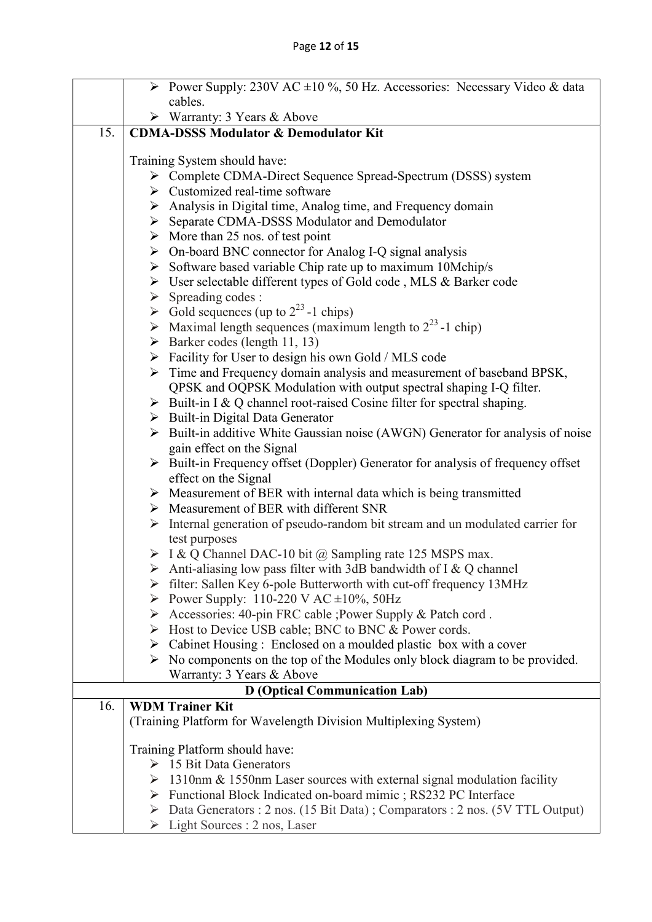|     |                                                  | Power Supply: 230V AC $\pm 10$ %, 50 Hz. Accessories: Necessary Video & data                                                                |
|-----|--------------------------------------------------|---------------------------------------------------------------------------------------------------------------------------------------------|
|     |                                                  | cables.                                                                                                                                     |
|     |                                                  | $\triangleright$ Warranty: 3 Years & Above                                                                                                  |
| 15. | <b>CDMA-DSSS Modulator &amp; Demodulator Kit</b> |                                                                                                                                             |
|     |                                                  |                                                                                                                                             |
|     |                                                  | Training System should have:                                                                                                                |
|     |                                                  | > Complete CDMA-Direct Sequence Spread-Spectrum (DSSS) system<br>$\triangleright$ Customized real-time software                             |
|     |                                                  |                                                                                                                                             |
|     |                                                  | > Analysis in Digital time, Analog time, and Frequency domain                                                                               |
|     |                                                  | > Separate CDMA-DSSS Modulator and Demodulator                                                                                              |
|     |                                                  | $\triangleright$ More than 25 nos. of test point                                                                                            |
|     |                                                  | $\triangleright$ On-board BNC connector for Analog I-Q signal analysis                                                                      |
|     |                                                  | $\triangleright$ Software based variable Chip rate up to maximum 10Mchip/s                                                                  |
|     |                                                  | > User selectable different types of Gold code, MLS & Barker code                                                                           |
|     |                                                  | $\triangleright$ Spreading codes :                                                                                                          |
|     |                                                  | $\triangleright$ Gold sequences (up to $2^{23}$ -1 chips)                                                                                   |
|     |                                                  | A Maximal length sequences (maximum length to $2^{23}$ -1 chip)                                                                             |
|     |                                                  | $\triangleright$ Barker codes (length 11, 13)                                                                                               |
|     |                                                  | $\triangleright$ Facility for User to design his own Gold / MLS code                                                                        |
|     |                                                  | > Time and Frequency domain analysis and measurement of baseband BPSK,                                                                      |
|     |                                                  | QPSK and OQPSK Modulation with output spectral shaping I-Q filter.                                                                          |
|     |                                                  | $\triangleright$ Built-in I & Q channel root-raised Cosine filter for spectral shaping.<br>$\triangleright$ Built-in Digital Data Generator |
|     |                                                  | $\triangleright$ Built-in additive White Gaussian noise (AWGN) Generator for analysis of noise                                              |
|     |                                                  | gain effect on the Signal                                                                                                                   |
|     |                                                  | $\triangleright$ Built-in Frequency offset (Doppler) Generator for analysis of frequency offset                                             |
|     |                                                  | effect on the Signal                                                                                                                        |
|     |                                                  | $\triangleright$ Measurement of BER with internal data which is being transmitted                                                           |
|     |                                                  | $\triangleright$ Measurement of BER with different SNR                                                                                      |
|     |                                                  | $\triangleright$ Internal generation of pseudo-random bit stream and un modulated carrier for                                               |
|     |                                                  | test purposes                                                                                                                               |
|     |                                                  | $\triangleright$ I & Q Channel DAC-10 bit @ Sampling rate 125 MSPS max.                                                                     |
|     |                                                  | $\triangleright$ Anti-aliasing low pass filter with 3dB bandwidth of I & Q channel                                                          |
|     |                                                  | $\triangleright$ filter: Sallen Key 6-pole Butterworth with cut-off frequency 13MHz                                                         |
|     |                                                  | Power Supply: 110-220 V AC $\pm 10\%$ , 50Hz                                                                                                |
|     |                                                  | > Accessories: 40-pin FRC cable ; Power Supply & Patch cord.                                                                                |
|     |                                                  | > Host to Device USB cable; BNC to BNC & Power cords.                                                                                       |
|     |                                                  | $\triangleright$ Cabinet Housing : Enclosed on a moulded plastic box with a cover                                                           |
|     |                                                  | $\triangleright$ No components on the top of the Modules only block diagram to be provided.                                                 |
|     |                                                  | Warranty: 3 Years & Above                                                                                                                   |
|     |                                                  | <b>D</b> (Optical Communication Lab)                                                                                                        |
| 16. |                                                  | <b>WDM Trainer Kit</b>                                                                                                                      |
|     |                                                  | (Training Platform for Wavelength Division Multiplexing System)                                                                             |
|     |                                                  | Training Platform should have:                                                                                                              |
|     |                                                  | $\triangleright$ 15 Bit Data Generators                                                                                                     |
|     |                                                  | $\geq 1310$ nm & 1550nm Laser sources with external signal modulation facility                                                              |
|     |                                                  | > Functional Block Indicated on-board mimic; RS232 PC Interface                                                                             |
|     |                                                  | $\triangleright$ Data Generators : 2 nos. (15 Bit Data); Comparators : 2 nos. (5V TTL Output)                                               |
|     |                                                  | $\triangleright$ Light Sources : 2 nos, Laser                                                                                               |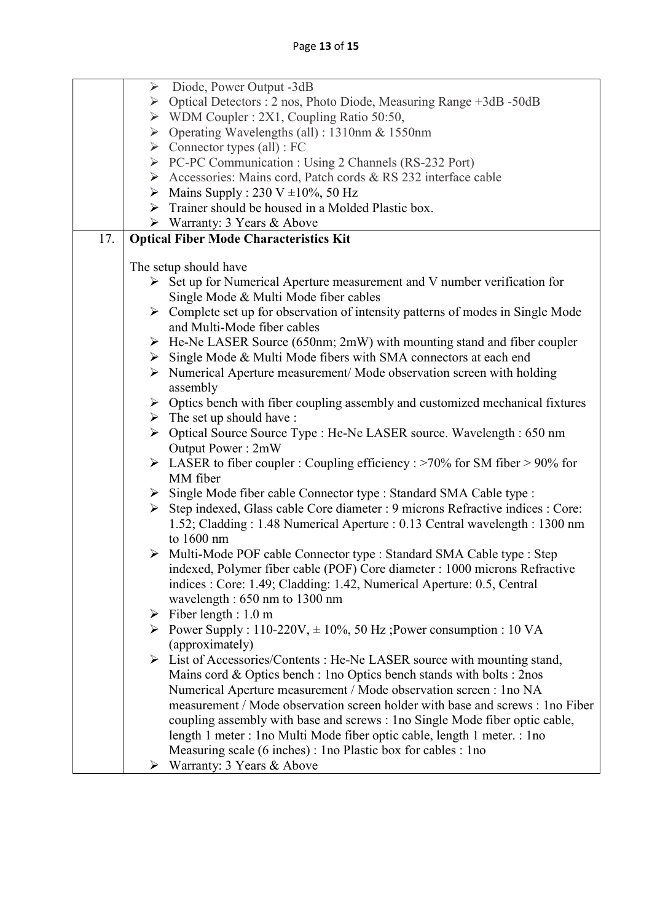|     |                       | $\triangleright$ Diode, Power Output -3dB                                                      |  |
|-----|-----------------------|------------------------------------------------------------------------------------------------|--|
|     |                       | > Optical Detectors : 2 nos, Photo Diode, Measuring Range +3dB -50dB                           |  |
|     |                       | $\triangleright$ WDM Coupler : 2X1, Coupling Ratio 50:50,                                      |  |
|     |                       | $\triangleright$ Operating Wavelengths (all) : 1310nm & 1550nm                                 |  |
|     |                       | $\triangleright$ Connector types (all) : FC                                                    |  |
|     |                       | PC-PC Communication : Using 2 Channels (RS-232 Port)                                           |  |
|     |                       | Accessories: Mains cord, Patch cords & RS 232 interface cable                                  |  |
|     |                       | $\triangleright$ Mains Supply : 230 V ±10%, 50 Hz                                              |  |
|     |                       | $\triangleright$ Trainer should be housed in a Molded Plastic box.                             |  |
|     |                       | $\triangleright$ Warranty: 3 Years & Above                                                     |  |
| 17. |                       | <b>Optical Fiber Mode Characteristics Kit</b>                                                  |  |
|     |                       |                                                                                                |  |
|     | The setup should have |                                                                                                |  |
|     |                       | $\triangleright$ Set up for Numerical Aperture measurement and V number verification for       |  |
|     |                       | Single Mode & Multi Mode fiber cables                                                          |  |
|     |                       | $\triangleright$ Complete set up for observation of intensity patterns of modes in Single Mode |  |
|     |                       | and Multi-Mode fiber cables                                                                    |  |
|     |                       | $\triangleright$ He-Ne LASER Source (650nm; 2mW) with mounting stand and fiber coupler         |  |
|     |                       | > Single Mode & Multi Mode fibers with SMA connectors at each end                              |  |
|     |                       | $\triangleright$ Numerical Aperture measurement/ Mode observation screen with holding          |  |
|     |                       | assembly                                                                                       |  |
|     |                       | $\triangleright$ Optics bench with fiber coupling assembly and customized mechanical fixtures  |  |
|     |                       | $\triangleright$ The set up should have :                                                      |  |
|     |                       | > Optical Source Source Type : He-Ne LASER source. Wavelength : 650 nm<br>Output Power: 2mW    |  |
|     |                       | $\triangleright$ LASER to fiber coupler : Coupling efficiency : >70% for SM fiber > 90% for    |  |
|     |                       | MM fiber                                                                                       |  |
|     |                       | > Single Mode fiber cable Connector type : Standard SMA Cable type :                           |  |
|     |                       | Step indexed, Glass cable Core diameter : 9 microns Refractive indices : Core:                 |  |
|     |                       | 1.52; Cladding: 1.48 Numerical Aperture: 0.13 Central wavelength: 1300 nm                      |  |
|     |                       | to 1600 nm                                                                                     |  |
|     |                       | > Multi-Mode POF cable Connector type : Standard SMA Cable type : Step                         |  |
|     |                       | indexed, Polymer fiber cable (POF) Core diameter : 1000 microns Refractive                     |  |
|     |                       | indices : Core: 1.49; Cladding: 1.42, Numerical Aperture: 0.5, Central                         |  |
|     |                       | wavelength : 650 nm to 1300 nm                                                                 |  |
|     |                       | $\triangleright$ Fiber length : 1.0 m                                                          |  |
|     |                       | Power Supply : $110-220V$ , $\pm 10\%$ , 50 Hz; Power consumption : 10 VA                      |  |
|     |                       | (approximately)                                                                                |  |
|     |                       | > List of Accessories/Contents : He-Ne LASER source with mounting stand,                       |  |
|     |                       | Mains cord & Optics bench : 1no Optics bench stands with bolts : 2nos                          |  |
|     |                       | Numerical Aperture measurement / Mode observation screen : 1no NA                              |  |
|     |                       | measurement / Mode observation screen holder with base and screws : 1 no Fiber                 |  |
|     |                       | coupling assembly with base and screws : 1 no Single Mode fiber optic cable,                   |  |
|     |                       | length 1 meter : 1 no Multi Mode fiber optic cable, length 1 meter. : 1 no                     |  |
|     |                       | Measuring scale (6 inches) : 1 no Plastic box for cables : 1 no                                |  |
|     | ➤                     | Warranty: 3 Years & Above                                                                      |  |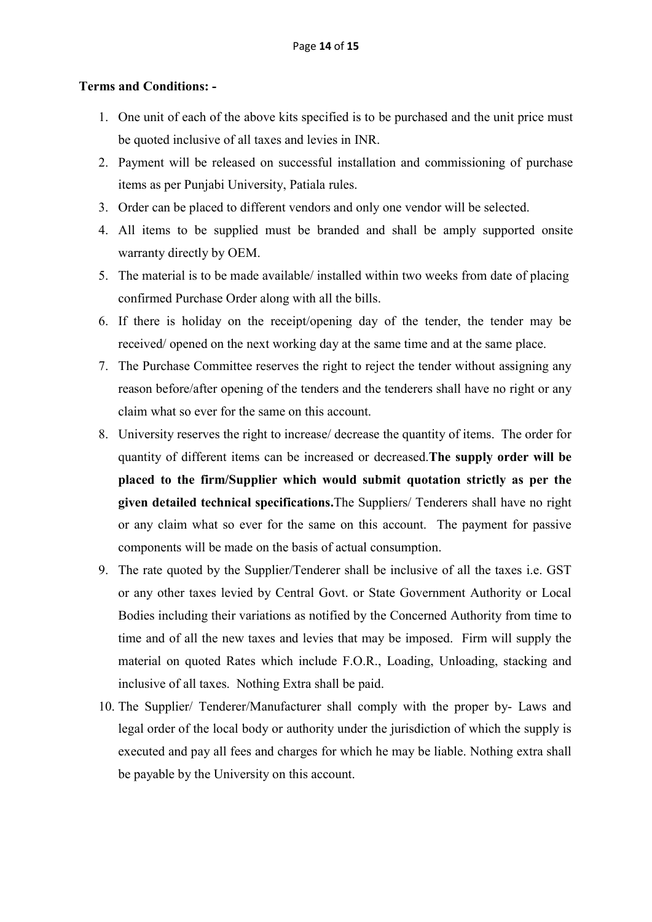#### Terms and Conditions: -

- 1. One unit of each of the above kits specified is to be purchased and the unit price must be quoted inclusive of all taxes and levies in INR.
- 2. Payment will be released on successful installation and commissioning of purchase items as per Punjabi University, Patiala rules.
- 3. Order can be placed to different vendors and only one vendor will be selected.
- 4. All items to be supplied must be branded and shall be amply supported onsite warranty directly by OEM.
- 5. The material is to be made available/ installed within two weeks from date of placing confirmed Purchase Order along with all the bills.
- 6. If there is holiday on the receipt/opening day of the tender, the tender may be received/ opened on the next working day at the same time and at the same place.
- 7. The Purchase Committee reserves the right to reject the tender without assigning any reason before/after opening of the tenders and the tenderers shall have no right or any claim what so ever for the same on this account.
- 8. University reserves the right to increase/ decrease the quantity of items. The order for quantity of different items can be increased or decreased.The supply order will be placed to the firm/Supplier which would submit quotation strictly as per the given detailed technical specifications.The Suppliers/ Tenderers shall have no right or any claim what so ever for the same on this account. The payment for passive components will be made on the basis of actual consumption.
- 9. The rate quoted by the Supplier/Tenderer shall be inclusive of all the taxes i.e. GST or any other taxes levied by Central Govt. or State Government Authority or Local Bodies including their variations as notified by the Concerned Authority from time to time and of all the new taxes and levies that may be imposed. Firm will supply the material on quoted Rates which include F.O.R., Loading, Unloading, stacking and inclusive of all taxes. Nothing Extra shall be paid.
- 10. The Supplier/ Tenderer/Manufacturer shall comply with the proper by- Laws and legal order of the local body or authority under the jurisdiction of which the supply is executed and pay all fees and charges for which he may be liable. Nothing extra shall be payable by the University on this account.